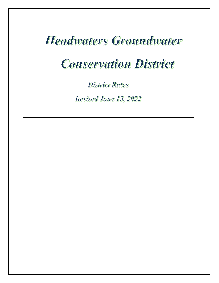# **Headwaters Groundwater**

# **Conservation District**

**District Rules** 

Revised June 15, 2022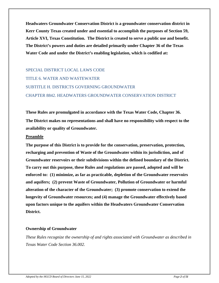**Headwaters Groundwater Conservation District is a groundwater conservation district in Kerr County Texas created under and essential to accomplish the purposes of Section 59, Article XVI, Texas Constitution. The District is created to serve a public use and benefit. The District's powers and duties are detailed primarily under Chapter 36 of the Texas Water Code and under the District's enabling legislation, which is codified at:**

SPECIAL DISTRICT LOCAL LAWS CODE TITLE 6. WATER AND WASTEWATER SUBTITLE H. DISTRICTS GOVERNING GROUNDWATER CHAPTER 8842. HEADWATERS GROUNDWATER CONSERVATION DISTRICT

**These Rules are promulgated in accordance with the Texas Water Code, Chapter 36. The District makes no representations and shall have no responsibility with respect to the availability or quality of Groundwater.**

#### **Preamble**

**The purpose of this District is to provide for the conservation, preservation, protection, recharging and prevention of Waste of the Groundwater within its jurisdiction, and of Groundwater reservoirs or their subdivisions within the defined boundary of the District. To carry out this purpose, these Rules and regulations are passed, adopted and will be enforced to: (1) minimize, as far as practicable, depletion of the Groundwater reservoirs and aquifers; (2) prevent Waste of Groundwater, Pollution of Groundwater or harmful alteration of the character of the Groundwater; (3) promote conservation to extend the longevity of Groundwater resources; and (4) manage the Groundwater effectively based upon factors unique to the aquifers within the Headwaters Groundwater Conservation District.**

#### **Ownership of Groundwater**

*These Rules recognize the ownership of and rights associated with Groundwater as described in Texas Water Code Section 36.002.*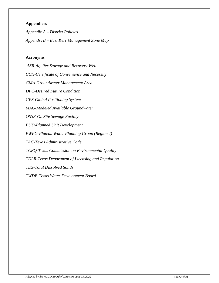# **Appendices**

*Appendix A – District Policies Appendix B – East Kerr Management Zone Map*

#### **Acronyms**

*ASR-Aquifer Storage and Recovery Well CCN-Certificate of Convenience and Necessity GMA-Groundwater Management Area DFC-Desired Future Condition GPS-Global Positioning System MAG-Modeled Available Groundwater OSSF-On Site Sewage Facility PUD-Planned Unit Development PWPG-Plateau Water Planning Group (Region J) TAC-Texas Administrative Code TCEQ-Texas Commission on Environmental Quality TDLR-Texas Department of Licensing and Regulation TDS-Total Dissolved Solids TWDB-Texas Water Development Board*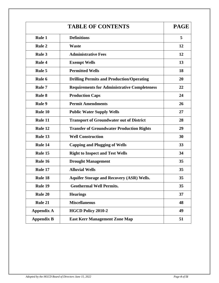|                   | <b>PAGE</b>                                         |    |
|-------------------|-----------------------------------------------------|----|
| <b>Rule 1</b>     | <b>Definitions</b>                                  | 5  |
| <b>Rule 2</b>     | <b>Waste</b>                                        | 12 |
| <b>Rule 3</b>     | <b>Administrative Fees</b>                          | 12 |
| <b>Rule 4</b>     | <b>Exempt Wells</b>                                 | 13 |
| <b>Rule 5</b>     | <b>Permitted Wells</b>                              | 18 |
| <b>Rule 6</b>     | <b>Drilling Permits and Production/Operating</b>    | 20 |
| <b>Rule 7</b>     | <b>Requirements for Administrative Completeness</b> | 22 |
| <b>Rule 8</b>     | <b>Production Caps</b>                              | 24 |
| <b>Rule 9</b>     | <b>Permit Amendments</b>                            | 26 |
| Rule 10           | <b>Public Water Supply Wells</b>                    | 27 |
| Rule 11           | <b>Transport of Groundwater out of District</b>     | 28 |
| Rule 12           | <b>Transfer of Groundwater Production Rights</b>    | 29 |
| Rule 13           | <b>Well Construction</b>                            | 30 |
| Rule 14           | <b>Capping and Plugging of Wells</b>                | 33 |
| Rule 15           | <b>Right to Inspect and Test Wells</b>              | 34 |
| Rule 16           | <b>Drought Management</b>                           | 35 |
| Rule 17           | <b>Alluvial Wells</b>                               | 35 |
| <b>Rule 18</b>    | <b>Aquifer Storage and Recovery (ASR) Wells.</b>    | 35 |
| Rule 19           | <b>Geothermal Well Permits.</b>                     | 35 |
| <b>Rule 20</b>    | <b>Hearings</b>                                     | 37 |
| Rule 21           | <b>Miscellaneous</b>                                | 48 |
| <b>Appendix A</b> | <b>HGCD Policy 2010-2</b>                           | 49 |
| <b>Appendix B</b> | <b>East Kerr Management Zone Map</b>                | 51 |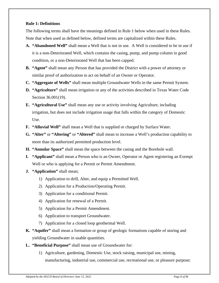# **Rule 1: Definitions**

The following terms shall have the meanings defined in Rule 1 below when used in these Rules. Note that when used as defined below, defined terms are capitalized within these Rules.

- **A. "Abandoned Well"** shall mean a Well that is not in use. A Well is considered to be in use if it is a non-Deteriorated Well, which contains the casing, pump, and pump column in good condition, or a non-Deteriorated Well that has been capped.
- **B. "Agent"** shall mean any Person that has provided the District with a power of attorney or similar proof of authorization to act on behalf of an Owner or Operator.
- **C. "Aggregate of Wells"** shall mean multiple Groundwater Wells in the same Permit System.
- **D. "Agriculture"** shall mean irrigation or any of the activities described in Texas Water Code Section 36.001(19).
- **E. "Agricultural Use"** shall mean any use or activity involving Agriculture, including irrigation, but does not include irrigation usage that falls within the category of Domestic Use.
- **F. "Alluvial Well"** shall mean a Well that is supplied or charged by Surface Water.
- **G. "Alter"** or **"Altering"** or **"Altered"** shall mean to increase a Well's production capability to more than its authorized permitted production level.
- **H. "Annular Space"** shall mean the space between the casing and the Borehole wall.
- **I. "Applicant"** shall mean a Person who is an Owner, Operator or Agent registering an Exempt Well or who is applying for a Permit or Permit Amendment.
- **J. "Application"** shall mean;
	- 1) Application to drill, Alter, and equip a Permitted Well.
	- 2) Application for a Production/Operating Permit.
	- 3) Application for a conditional Permit.
	- 4) Application for renewal of a Permit.
	- 5) Application for a Permit Amendment.
	- 6) Application to transport Groundwater.
	- 7) Application for a closed loop geothermal Well.
- **K. "Aquifer"** shall mean a formation or group of geologic formations capable of storing and yielding Groundwater in usable quantities.
- **L. "Beneficial Purpose"** shall mean use of Groundwater for:
	- 1) Agriculture, gardening, Domestic Use, stock raising, municipal use, mining, manufacturing, industrial use, commercial use, recreational use, or pleasure purpose;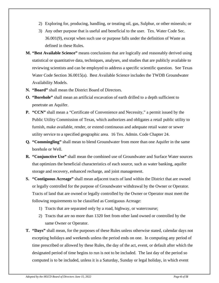- 2) Exploring for, producing, handling, or treating oil, gas, Sulphur, or other minerals; or
- 3) Any other purpose that is useful and beneficial to the user. Tex. Water Code Sec. 36.001(9), except when such use or purpose falls under the definition of Waste as defined in these Rules.
- **M. "Best Available Science"** means conclusions that are logically and reasonably derived using statistical or quantitative data, techniques, analyses, and studies that are publicly available to reviewing scientists and can be employed to address a specific scientific question. See Texas Water Code Section 36.0015(a). Best Available Science includes the TWDB Groundwater Availability Models.
- **N. "Board"** shall mean the District Board of Directors.
- **O. "Borehole"** shall mean an artificial excavation of earth drilled to a depth sufficient to penetrate an Aquifer.
- **P. "CCN"** shall mean a "Certificate of Convenience and Necessity," a permit issued by the Public Utility Commission of Texas, which authorizes and obligates a retail public utility to furnish, make available, render, or extend continuous and adequate retail water or sewer utility service to a specified geographic area. 16 Tex. Admin. Code Chapter 24.
- **Q. "Commingling"** shall mean to blend Groundwater from more than one Aquifer in the same borehole or Well.
- **R. "Conjunctive Use"** shall mean the combined use of Groundwater and Surface Water sources that optimizes the beneficial characteristics of each source, such as water banking, aquifer storage and recovery, enhanced recharge, and joint management.
- **S. "Contiguous Acreage"** shall mean adjacent tracts of land within the District that are owned or legally controlled for the purpose of Groundwater withdrawal by the Owner or Operator. Tracts of land that are owned or legally controlled by the Owner or Operator must meet the following requirements to be classified as Contiguous Acreage:
	- 1) Tracts that are separated only by a road, highway, or watercourse;
	- 2) Tracts that are no more than 1320 feet from other land owned or controlled by the same Owner or Operator.
- **T. "Days"** shall mean, for the purposes of these Rules unless otherwise stated, calendar days not excepting holidays and weekends unless the period ends on one. In computing any period of time prescribed or allowed by these Rules, the day of the act, event, or default after which the designated period of time begins to run is not to be included. The last day of the period so computed is to be included, unless it is a Saturday, Sunday or legal holiday, in which event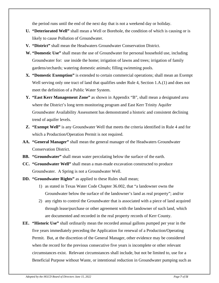the period runs until the end of the next day that is not a weekend day or holiday.

- **U. "Deteriorated Well"** shall mean a Well or Borehole, the condition of which is causing or is likely to cause Pollution of Groundwater.
- **V. "District"** shall mean the Headwaters Groundwater Conservation District.
- **W. "Domestic Use"** shall mean the use of Groundwater for personal household use, including Groundwater for: use inside the home; irrigation of lawns and trees; irrigation of family gardens/orchards; watering domestic animals; filling swimming pools.
- **X. "Domestic Exemption"** is extended to certain commercial operations; shall mean an Exempt Well serving only one tract of land that qualifies under Rule 4, Section 1.A.(1) and does not meet the definition of a Public Water System.
- **Y. "East Kerr Management Zone"** as shown in Appendix "B", shall mean a designated area where the District's long term monitoring program and East Kerr Trinity Aquifer Groundwater Availability Assessment has demonstrated a historic and consistent declining trend of aquifer levels.
- **Z. "Exempt Well"** is any Groundwater Well that meets the criteria identified in Rule 4 and for which a Production/Operation Permit is not required.
- **AA. "General Manager"** shall mean the general manager of the Headwaters Groundwater Conservation District.
- **BB. "Groundwater"** shall mean water percolating below the surface of the earth.
- **CC. "Groundwater Well"** shall mean a man-made excavation constructed to produce Groundwater. A Spring is not a Groundwater Well.
- **DD. "Groundwater Rights"** as applied to these Rules shall mean;
	- 1) as stated in Texas Water Code Chapter 36.002, that "a landowner owns the Groundwater below the surface of the landowner's land as real property"; and/or
	- 2) any rights to control the Groundwater that is associated with a piece of land acquired through lease/purchase or other agreement with the landowner of such land, which are documented and recorded in the real property records of Kerr County.
- **EE. "Historic Use"** shall ordinarily mean the recorded annual gallons pumped per year in the five years immediately preceding the Application for renewal of a Production/Operating Permit. But, at the discretion of the General Manager, other evidence may be considered when the record for the previous consecutive five years is incomplete or other relevant circumstances exist. Relevant circumstances shall include, but not be limited to, use for a Beneficial Purpose without Waste, or intentional reduction in Groundwater pumping such as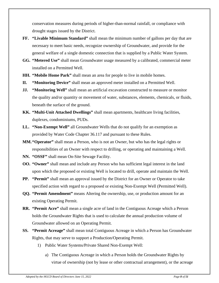conservation measures during periods of higher-than-normal rainfall, or compliance with drought stages issued by the District.

- **FF. "Livable Minimum Standard"** shall mean the minimum number of gallons per day that are necessary to meet basic needs, recognize ownership of Groundwater, and provide for the general welfare of a single domestic connection that is supplied by a Public Water System.
- **GG. "Metered Use"** shall mean Groundwater usage measured by a calibrated, commercial meter installed on a Permitted Well.
- **HH. "Mobile Home Park"** shall mean an area for people to live in mobile homes.
- **II. "Monitoring Device"** shall mean an approved meter installed on a Permitted Well.
- **JJ. "Monitoring Well"** shall mean an artificial excavation constructed to measure or monitor the quality and/or quantity or movement of water, substances, elements, chemicals, or fluids, beneath the surface of the ground.
- **KK. "Multi-Unit Attached Dwellings"** shall mean apartments, healthcare living facilities, duplexes, condominiums, PUDs.
- **LL. "Non-Exempt Well"** all Groundwater Wells that do not qualify for an exemption as provided by Water Code Chapter 36.117 and pursuant to these Rules.
- **MM."Operator"** shall mean a Person, who is not an Owner, but who has the legal rights or responsibilities of an Owner with respect to drilling, or operating and maintaining a Well.
- **NN. "OSSF"** shall mean On-Site Sewage Facility.
- **OO. "Owner"** shall mean and include any Person who has sufficient legal interest in the land upon which the proposed or existing Well is located to drill, operate and maintain the Well.
- **PP. "Permit"** shall mean an approval issued by the District for an Owner or Operator to take specified action with regard to a proposed or existing Non-Exempt Well (Permitted Well).
- **QQ. "Permit Amendment"** means Altering the ownership, use, or production amount for an existing Operating Permit.
- **RR. "Permit Acre"** shall mean a single acre of land in the Contiguous Acreage which a Person holds the Groundwater Rights that is used to calculate the annual production volume of Groundwater allowed on an Operating Permit.
- **SS. "Permit Acreage"** shall mean total Contiguous Acreage in which a Person has Groundwater Rights, that may serve to support a Production/Operating Permit.
	- 1) Public Water Systems/Private Shared Non-Exempt Well:
		- a) The Contiguous Acreage in which a Person holds the Groundwater Rights by virtue of ownership (not by lease or other contractual arrangement), or the acreage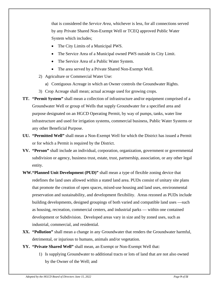that is considered the *Service Area,* whichever is less, for all connections served by any Private Shared Non-Exempt Well or TCEQ approved Public Water System which includes;

- The City Limits of a Municipal PWS.
- The Service Area of a Municipal owned PWS outside its City Limit.
- The Service Area of a Public Water System.
- The area served by a Private Shared Non-Exempt Well.
- 2) Agriculture or Commercial Water Use:
	- a) Contiguous Acreage in which an Owner controls the Groundwater Rights.
- 3) Crop Acreage shall mean; actual acreage used for growing crops.
- **TT. "Permit System"** shall mean a collection of infrastructure and/or equipment comprised of a Groundwater Well or group of Wells that supply Groundwater for a specified area and purpose designated on an HGCD Operating Permit, by way of pumps, tanks, water line infrastructure and used for irrigation systems, commercial business, Public Water Systems or any other Beneficial Purpose.
- **UU. "Permitted Well"** shall mean a Non-Exempt Well for which the District has issued a Permit or for which a Permit is required by the District.
- **VV. "Person"** shall include an individual, corporation, organization, government or governmental subdivision or agency, business trust, estate, trust, partnership, association, or any other legal entity.
- **WW."Planned Unit Development (PUD)"** shall mean a type of flexible zoning device that redefines the land uses allowed within a stated land area. PUDs consist of unitary site plans that promote the creation of open spaces, mixed-use housing and land uses, environmental preservation and sustainability, and development flexibility. Areas rezoned as PUDs include building developments, designed groupings of both varied and compatible [land uses](https://en.wikipedia.org/wiki/Land_use) —such as housing, recreation, commercial centers, and industrial parks — within one contained development or [Subdivision.](https://en.wikipedia.org/wiki/Subdivision_(land)) Developed areas vary in size and by zoned uses, such as industrial, commercial, and residential.
- **XX. "Pollution"** shall mean a change in any Groundwater that renders the Groundwater harmful, detrimental, or injurious to humans, animals and/or vegetation.
- **YY. "Private Shared Well"** shall mean, an Exempt or Non-Exempt Well that:
	- 1) Is supplying Groundwater to additional tracts or lots of land that are not also owned by the Owner of the Well; and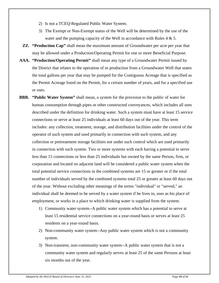- 2) Is not a TCEQ-Regulated Public Water System.
- 3) The Exempt or Non-Exempt status of the Well will be determined by the use of the water and the pumping capacity of the Well in accordance with Rules  $4 \& 5$ .
- **ZZ. "Production Cap"** shall mean the maximum amount of Groundwater per acre per year that may be allowed under a Production/Operating Permit for one or more Beneficial Purpose.
- **AAA. "Production/Operating Permit"** shall mean any type of a Groundwater Permit issued by the District that relates to the operation of or production from a Groundwater Well that states the total gallons per year that may be pumped for the Contiguous Acreage that is specified as the Permit Acreage listed on the Permit, for a certain number of years, and for a specified use or uses.
- **BBB. "Public Water System"** shall mean, a system for the provision to the public of water for human consumption through pipes or other constructed conveyances, which includes all uses described under the definition for drinking water. Such a system must have at least 15 service connections or serve at least 25 individuals at least 60 days out of the year. This term includes: any collection, treatment, storage, and distribution facilities under the control of the operator of such system and used primarily in connection with such system, and any collection or pretreatment storage facilities not under such control which are used primarily in connection with such system. Two or more systems with each having a potential to serve less than 15 connections or less than 25 individuals but owned by the same Person, firm, or corporation and located on adjacent land will be considered a public water system when the total potential service connections in the combined systems are 15 or greater or if the total number of individuals served by the combined systems total 25 or greater at least 60 days out of the year. Without excluding other meanings of the terms "individual" or "served," an individual shall be deemed to be served by a water system if he lives in, uses as his place of employment, or works in a place to which drinking water is supplied from the system.
	- 1) Community water system--A public water system which has a potential to serve at least 15 residential service connections on a year-round basis or serves at least 25 residents on a year-round basis.
	- 2) Non-community water system--Any public water system which is not a community system.
	- 3) Non-transient, non-community water system--A public water system that is not a community water system and regularly serves at least 25 of the same Persons at least six months out of the year.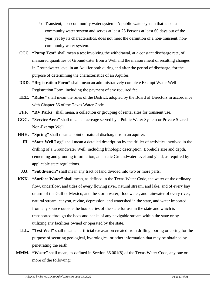- 4) Transient, non-community water system--A public water system that is not a community water system and serves at least 25 Persons at least 60 days out of the year, yet by its characteristics, does not meet the definition of a non-transient, noncommunity water system.
- **CCC. "Pump Test"** shall mean a test involving the withdrawal, at a constant discharge rate, of measured quantities of Groundwater from a Well and the measurement of resulting changes in Groundwater level in an Aquifer both during and after the period of discharge, for the purpose of determining the characteristics of an Aquifer.
- **DDD. "Registration Form"** shall mean an administratively complete Exempt Water Well Registration Form, including the payment of any required fee.
- **EEE. "Rules"** shall mean the rules of the District, adopted by the Board of Directors in accordance with Chapter 36 of the Texas Water Code.
- **FFF. "RV Parks"** shall mean, a collection or grouping of rental sites for transient use.
- **GGG. "Service Area"** shall mean all acreage served by a Public Water System or Private Shared Non-Exempt Well.
- **HHH. "Spring"** shall mean a point of natural discharge from an aquifer.
	- **III. "State Well Log"** shall mean a detailed description by the driller of activities involved in the drilling of a Groundwater Well, including lithologic description, Borehole size and depth, cementing and grouting information, and static Groundwater level and yield, as required by applicable state regulations.
- **JJJ. "Subdivision"** shall mean any tract of land divided into two or more parts.
- **KKK. "Surface Water"** shall mean, as defined in the Texas Water Code, the water of the ordinary flow, underflow, and tides of every flowing river, natural stream, and lake, and of every bay or arm of the Gulf of Mexico, and the storm water, floodwater, and rainwater of every river, natural stream, canyon, ravine, depression, and watershed in the state, and water imported from any source outside the boundaries of the state for use in the state and which is transported through the beds and banks of any navigable stream within the state or by utilizing any facilities owned or operated by the state.
- **LLL. "Test Well"** shall mean an artificial excavation created from drilling, boring or coring for the purpose of securing geological, hydrological or other information that may be obtained by penetrating the earth.
- **MMM. "Waste"** shall mean, as defined in Section 36.001(8) of the Texas Water Code, any one or more of the following: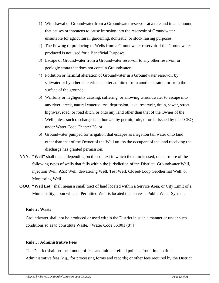- 1) Withdrawal of Groundwater from a Groundwater reservoir at a rate and in an amount, that causes or threatens to cause intrusion into the reservoir of Groundwater unsuitable for agricultural, gardening, domestic, or stock raising purposes;
- 2) The flowing or producing of Wells from a Groundwater reservoir if the Groundwater produced is not used for a Beneficial Purpose;
- 3) Escape of Groundwater from a Groundwater reservoir to any other reservoir or geologic strata that does not contain Groundwater;
- 4) Pollution or harmful alteration of Groundwater in a Groundwater reservoir by saltwater or by other deleterious matter admitted from another stratum or from the surface of the ground;
- 5) Willfully or negligently causing, suffering, or allowing Groundwater to escape into any river, creek, natural watercourse, depression, lake, reservoir, drain, sewer, street, highway, road, or road ditch, or onto any land other than that of the Owner of the Well unless such discharge is authorized by permit, rule, or order issued by the TCEQ under Water Code Chapter 26; or
- 6) Groundwater pumped for irrigation that escapes as irrigation tail water onto land other than that of the Owner of the Well unless the occupant of the land receiving the discharge has granted permission.
- **NNN. "Well"** shall mean, depending on the context in which the term is used, one or more of the following types of wells that falls within the jurisdiction of the District: Groundwater Well, injection Well, ASR Well, dewatering Well, Test Well, Closed-Loop Geothermal Well, or Monitoring Well.
- **OOO. "Well Lot"** shall mean a small tract of land located within a Service Area, or City Limit of a Municipality, upon which a Permitted Well is located that serves a Public Water System.

#### **Rule 2: Waste**

Groundwater shall not be produced or used within the District in such a manner or under such conditions so as to constitute Waste. [Water Code 36.001 (8).]

#### **Rule 3: Administrative Fees**

The District shall set the amount of fees and initiate refund policies from time to time. Administrative fees (*e.g.,* for processing forms and records) or other fees required by the District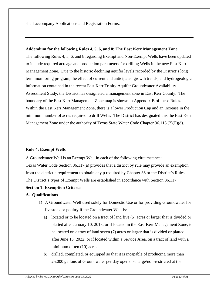shall accompany Applications and Registration Forms.

#### **Addendum for the following Rules 4, 5, 6, and 8: The East Kerr Management Zone**

The following Rules 4, 5, 6, and 8 regarding Exempt and Non-Exempt Wells have been updated to include required acreage and production parameters for drilling Wells in the new East Kerr Management Zone. Due to the historic declining aquifer levels recorded by the District's long term monitoring program, the effect of current and anticipated growth trends, and hydrogeologic information contained in the recent East Kerr Trinity Aquifer Groundwater Availability Assessment Study, the District has designated a management zone in East Kerr County. The boundary of the East Kerr Management Zone map is shown in Appendix B of these Rules. Within the East Kerr Management Zone, there is a lower Production Cap and an increase in the minimum number of acres required to drill Wells. The District has designated this the East Kerr Management Zone under the authority of Texas State Water Code Chapter 36.116 (2)(F)(d).

#### **Rule 4: Exempt Wells**

A Groundwater Well is an Exempt Well in each of the following circumstance: Texas Water Code Section 36.117(a) provides that a district by rule may provide an exemption from the district's requirement to obtain any p required by Chapter 36 or the District's Rules. The District's types of Exempt Wells are established in accordance with Section 36.117.

#### **Section 1: Exemption Criteria**

#### **A. Qualifications**

- 1) A Groundwater Well used solely for Domestic Use or for providing Groundwater for livestock or poultry if the Groundwater Well is:
	- a) located or to be located on a tract of land five (5) acres or larger that is divided or platted after January 10, 2018; or if located in the East Kerr Management Zone, to be located on a tract of land seven (7) acres or larger that is divided or platted after June 15, 2022; or if located within a Service Area, on a tract of land with a minimum of ten (10) acres.
	- b) drilled, completed, or equipped so that it is incapable of producing more than 25,000 gallons of Groundwater per day open discharge/non-restricted at the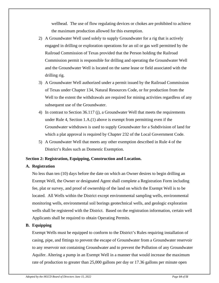wellhead. The use of flow regulating devices or chokes are prohibited to achieve the maximum production allowed for this exemption.

- 2) A Groundwater Well used solely to supply Groundwater for a rig that is actively engaged in drilling or exploration operations for an oil or gas well permitted by the Railroad Commission of Texas provided that the Person holding the Railroad Commission permit is responsible for drilling and operating the Groundwater Well and the Groundwater Well is located on the same lease or field associated with the drilling rig.
- 3) A Groundwater Well authorized under a permit issued by the Railroad Commission of Texas under Chapter 134, Natural Resources Code, or for production from the Well to the extent the withdrawals are required for mining activities regardless of any subsequent use of the Groundwater.
- 4) In contrast to Section 36.117 (j), a Groundwater Well that meets the requirements under Rule 4, Section 1.A.(1) above is exempt from permitting even if the Groundwater withdrawn is used to supply Groundwater for a Subdivision of land for which a plat approval is required by Chapter 232 of the Local Government Code.
- 5) A Groundwater Well that meets any other exemption described in Rule 4 of the District's Rules such as Domestic Exemption.

# **Section 2: Registration, Equipping, Construction and Location.**

# **A. Registration**

No less than ten (10) days before the date on which an Owner desires to begin drilling an Exempt Well, the Owner or designated Agent shall complete a Registration Form including fee, plat or survey, and proof of ownership of the land on which the Exempt Well is to be located. All Wells within the District except environmental sampling wells, environmental monitoring wells, environmental soil borings geotechnical wells, and geologic exploration wells shall be registered with the District. Based on the registration information, certain well Applicants shall be required to obtain Operating Permits.

# **B. Equipping**

Exempt Wells must be equipped to conform to the District's Rules requiring installation of casing, pipe, and fittings to prevent the escape of Groundwater from a Groundwater reservoir to any reservoir not containing Groundwater and to prevent the Pollution of any Groundwater Aquifer. Altering a pump in an Exempt Well in a manner that would increase the maximum rate of production to greater than 25,000 gallons per day or 17.36 gallons per minute open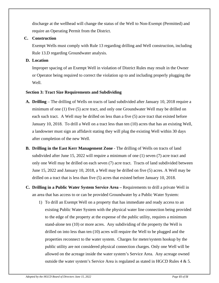discharge at the wellhead will change the status of the Well to Non-Exempt (Permitted) and require an Operating Permit from the District.

#### **C. Construction**

Exempt Wells must comply with Rule 13 regarding drilling and Well construction, including Rule 13.D regarding Groundwater analysis.

#### **D. Location**

Improper spacing of an Exempt Well in violation of District Rules may result in the Owner or Operator being required to correct the violation up to and including properly plugging the Well.

# **Section 3: Tract Size Requirements and Subdividing**

- **A. Drilling** The drilling of Wells on tracts of land subdivided after January 10, 2018 require a minimum of one (1) five (5) acre tract, and only one Groundwater Well may be drilled on each such tract. A Well may be drilled on less than a five (5) acre tract that existed before January 10, 2018. To drill a Well on a tract less than ten (10) acres that has an existing Well, a landowner must sign an affidavit stating they will plug the existing Well within 30 days after completion of the new Well.
- **B. Drilling in the East Kerr Management Zone** The drilling of Wells on tracts of land subdivided after June 15, 2022 will require a minimum of one (1) seven (7) acre tract and only one Well may be drilled on each seven (7) acre tract. Tracts of land subdivided between June 15, 2022 and January 10, 2018, a Well may be drilled on five (5) acres. A Well may be drilled on a tract that is less than five (5) acres that existed before January 10, 2018.
- **C. Drilling in a Public Water System Service Area –** Requirements to drill a private Well in an area that has access to or can be provided Groundwater by a Public Water System:
	- 1) To drill an Exempt Well on a property that has immediate and ready access to an existing Public Water System with the physical water line connection being provided to the edge of the property at the expense of the public utility, requires a minimum stand-alone ten (10) or more acres. Any subdividing of the property the Well is drilled on into less than ten (10) acres will require the Well to be plugged and the properties reconnect to the water system. Charges for meter/system hookup by the public utility are not considered physical connection charges. Only one Well will be allowed on the acreage inside the water system's Service Area. Any acreage owned outside the water system's Service Area is regulated as stated in HGCD Rules 4 & 5.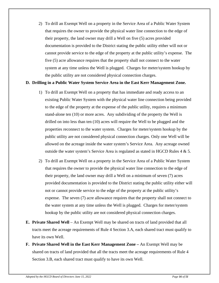2) To drill an Exempt Well on a property in the Service Area of a Public Water System that requires the owner to provide the physical water line connection to the edge of their property, the land owner may drill a Well on five (5) acres provided documentation is provided to the District stating the public utility either will not or cannot provide service to the edge of the property at the public utility's expense. The five (5) acre allowance requires that the property shall not connect to the water system at any time unless the Well is plugged. Charges for meter/system hookup by the public utility are not considered physical connection charges.

#### **D. Drilling in a Public Water System Service Area in the East Kerr Management Zone.**

- 1) To drill an Exempt Well on a property that has immediate and ready access to an existing Public Water System with the physical water line connection being provided to the edge of the property at the expense of the public utility, requires a minimum stand-alone ten (10) or more acres. Any subdividing of the property the Well is drilled on into less than ten (10) acres will require the Well to be plugged and the properties reconnect to the water system. Charges for meter/system hookup by the public utility are not considered physical connection charges. Only one Well will be allowed on the acreage inside the water system's Service Area. Any acreage owned outside the water system's Service Area is regulated as stated in HGCD Rules 4 & 5.
- 2) To drill an Exempt Well on a property in the Service Area of a Public Water System that requires the owner to provide the physical water line connection to the edge of their property, the land owner may drill a Well on a minimum of seven (7) acres provided documentation is provided to the District stating the public utility either will not or cannot provide service to the edge of the property at the public utility's expense. The seven (7) acre allowance requires that the property shall not connect to the water system at any time unless the Well is plugged. Charges for meter/system hookup by the public utility are not considered physical connection charges.
- **E. Private Shared Well** An Exempt Well may be shared on tracts of land provided that all tracts meet the acreage requirements of Rule 4 Section 3.A, each shared tract must qualify to have its own Well.
- **F. Private Shared Well in the East Kerr Management Zone –** An Exempt Well may be shared on tracts of land provided that all the tracts meet the acreage requirements of Rule 4 Section 3.B, each shared tract must qualify to have its own Well.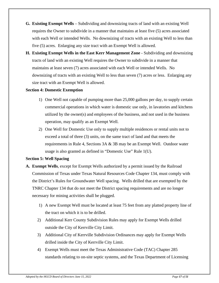- **G. Existing Exempt Wells** Subdividing and downsizing tracts of land with an existing Well requires the Owner to subdivide in a manner that maintains at least five (5) acres associated with each Well or intended Wells. No downsizing of tracts with an existing Well to less than five (5) acres. Enlarging any size tract with an Exempt Well is allowed.
- **H. Existing Exempt Wells in the East Kerr Management Zone** Subdividing and downsizing tracts of land with an existing Well requires the Owner to subdivide in a manner that maintains at least seven (7) acres associated with each Well or intended Wells. No downsizing of tracts with an existing Well to less than seven (7) acres or less. Enlarging any size tract with an Exempt Well is allowed.

#### **Section 4: Domestic Exemption**

- 1) One Well not capable of pumping more than 25,000 gallons per day, to supply certain commercial operations in which water is domestic use only, in lavatories and kitchens utilized by the owner(s) and employees of the business, and not used in the business operation, may qualify as an Exempt Well.
- 2) One Well for Domestic Use only to supply multiple residences or rental units not to exceed a total of three (3) units, on the same tract of land and that meets the requirements in Rule 4, Sections 3A & 3B may be an Exempt Well. Outdoor water usage is also granted as defined in "Domestic Use" Rule 1(U).

# **Section 5: Well Spacing**

- **A. Exempt Wells**, except for Exempt Wells authorized by a permit issued by the Railroad Commission of Texas under Texas Natural Resources Code Chapter 134, must comply with the District's Rules for Groundwater Well spacing. Wells drilled that are exempted by the TNRC Chapter 134 that do not meet the District spacing requirements and are no longer necessary for mining activities shall be plugged.
	- 1) A new Exempt Well must be located at least 75 feet from any platted property line of the tract on which it is to be drilled.
	- 2) Additional Kerr County Subdivision Rules may apply for Exempt Wells drilled outside the City of Kerrville City Limit.
	- 3) Additional City of Kerrville Subdivision Ordinances may apply for Exempt Wells drilled inside the City of Kerrville City Limit.
	- 4) Exempt Wells must meet the Texas Administrative Code (TAC) Chapter 285 standards relating to on-site septic systems, and the Texas Department of Licensing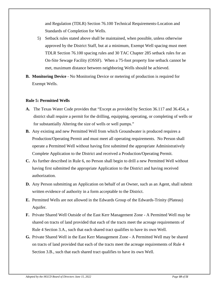and Regulation (TDLR) Section 76.100 Technical Requirements-Location and Standards of Completion for Wells.

- 5) Setback rules stated above shall be maintained, when possible, unless otherwise approved by the District Staff, but at a minimum, Exempt Well spacing must meet TDLR Section 76.100 spacing rules and 30 TAC Chapter 285 setback rules for an On-Site Sewage Facility (OSSF). When a 75-foot property line setback cannot be met, maximum distance between neighboring Wells should be achieved.
- **B. Monitoring Device** No Monitoring Device or metering of production is required for Exempt Wells.

#### **Rule 5: Permitted Wells**

- **A.** The Texas Water Code provides that "Except as provided by Section 36.117 and 36.454, a district shall require a permit for the drilling, equipping, operating, or completing of wells or for substantially Altering the size of wells or well pumps."
- **B.** Any existing and new Permitted Well from which Groundwater is produced requires a Production/Operating Permit and must meet all operating requirements. No Person shall operate a Permitted Well without having first submitted the appropriate Administratively Complete Application to the District and received a Production/Operating Permit.
- **C.** As further described in Rule 6, no Person shall begin to drill a new Permitted Well without having first submitted the appropriate Application to the District and having received authorization.
- **D.** Any Person submitting an Application on behalf of an Owner, such as an Agent, shall submit written evidence of authority in a form acceptable to the District.
- **E.** Permitted Wells are not allowed in the Edwards Group of the Edwards-Trinity (Plateau) Aquifer.
- **F.** Private Shared Well Outside of the East Kerr Management Zone A Permitted Well may be shared on tracts of land provided that each of the tracts meet the acreage requirements of Rule 4 Section 3.A., such that each shared tract qualifies to have its own Well.
- **G.** Private Shared Well in the East Kerr Management Zone A Permitted Well may be shared on tracts of land provided that each of the tracts meet the acreage requirements of Rule 4 Section 3.B., such that each shared tract qualifies to have its own Well.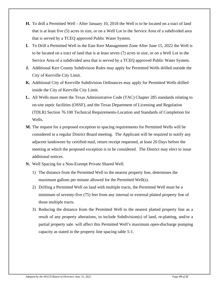- **H.** To drill a Permitted Well After January 10, 2018 the Well is to be located on a tract of land that is at least five (5) acres in size, or on a Well Lot in the Service Area of a subdivided area that is served by a TCEQ approved Public Water System.
- **I.** To Drill a Permitted Well in the East Kerr Management Zone After June 15, 2022 the Well is to be located on a tract of land that is at least seven (7) acres in size, or on a Well Lot in the Service Area of a subdivided area that is served by a TCEQ approved Public Water System.
- **J.** Additional Kerr County Subdivision Rules may apply for Permitted Wells drilled outside the City of Kerrville City Limit.
- **K.** Additional City of Kerrville Subdivision Ordinances may apply for Permitted Wells drilled inside the City of Kerrville City Limit.
- **L.** All Wells must meet the Texas Administrative Code (TAC) Chapter 285 standards relating to on-site septic facilities (OSSF), and the Texas Department of Licensing and Regulation (TDLR) Section 76.100 Technical Requirements-Location and Standards of Completion for Wells.
- **M.** The request for a proposed exception to spacing requirements for Permitted Wells will be considered in a regular District Board meeting. The Applicant will be required to notify any adjacent landowner by certified mail, return receipt requested, at least 20 Days before the meeting at which the proposed exception is to be considered. The District may elect to issue additional notices.
- **N.** Well Spacing for a Non-Exempt Private Shared Well.
	- 1) The distance from the Permitted Well to the nearest property line, determines the maximum gallons per minute allowed for the Permitted Well(s).
	- 2) Drilling a Permitted Well on land with multiple tracts, the Permitted Well must be a minimum of seventy-five (75) feet from any internal or external platted property line of those multiple tracts.
	- 3) Reducing the distance from the Permitted Well to the nearest platted property line as a result of any property alterations, to include Subdivision(s) of land, re-platting, and/or a partial property sale. will affect this Permitted Well's maximum open-discharge pumping capacity as stated in the property line spacing table 5-1.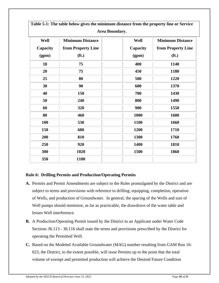| Area Boundary. |                         |  |          |                         |  |  |
|----------------|-------------------------|--|----------|-------------------------|--|--|
| Well           | <b>Minimum Distance</b> |  | Well     | <b>Minimum Distance</b> |  |  |
| Capacity       | from Property Line      |  | Capacity | from Property Line      |  |  |
| (gpm)          | (f <sub>t</sub> )       |  | (gpm)    | (f <sub>t</sub> )       |  |  |
| 18             | 75                      |  | 400      | 1140                    |  |  |
| 20             | 75                      |  | 450      | 1180                    |  |  |
| 25             | 80                      |  | 500      | 1220                    |  |  |
| 30             | 90                      |  | 600      | 1370                    |  |  |
| 40             | 150                     |  | 700      | 1430                    |  |  |
| 50             | 240                     |  | 800      | 1490                    |  |  |
| 60             | 320                     |  | 900      | 1550                    |  |  |
| 80             | 460                     |  | 1000     | 1600                    |  |  |
| <b>100</b>     | 530                     |  | 1100     | 1660                    |  |  |
| 150            | 680                     |  | 1200     | 1710                    |  |  |
| 200            | 810                     |  | 1300     | 1760                    |  |  |
| 250            | 920                     |  | 1400     | 1810                    |  |  |
| 300            | 1020                    |  | 1500     | 1860                    |  |  |
| 350            | 1100                    |  |          |                         |  |  |

**Table 5-1: The table below gives the minimum distance from the property line or Service** 

# **Rule 6: Drilling Permits and Production/Operating Permits**

- **A.** Permits and Permit Amendments are subject to the Rules promulgated by the District and are subject to terms and provisions with reference to drilling, equipping, completion, operation of Wells, and production of Groundwater. In general, the spacing of the Wells and size of Well pumps should minimize, as far as practicable, the drawdown of the water table and lessen Well interference.
- **B.** A Production/Operating Permit issued by the District to an Applicant under Water Code Sections 36.113 - 36.116 shall state the terms and provisions prescribed by the District for operating the Permitted Well.
- **C.** Based on the Modeled Available Groundwater (MAG) number resulting from GAM Run 16- 023, the District, to the extent possible, will issue Permits up to the point that the total volume of exempt and permitted production will achieve the Desired Future Condition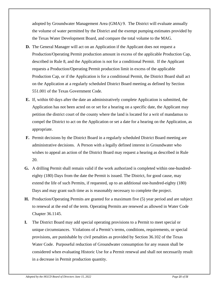adopted by Groundwater Management Area (GMA) 9. The District will evaluate annually the volume of water permitted by the District and the exempt pumping estimates provided by the Texas Water Development Board, and compare the total volume to the MAG.

- **D.** The General Manager will act on an Application if the Applicant does not request a Production/Operating Permit production amount in excess of the applicable Production Cap, described in Rule 8, and the Application is not for a conditional Permit. If the Applicant requests a Production/Operating Permit production limit in excess of the applicable Production Cap, or if the Application is for a conditional Permit, the District Board shall act on the Application at a regularly scheduled District Board meeting as defined by Section 551.001 of the Texas Government Code.
- **E.** If, within 60 days after the date an administratively complete Application is submitted, the Application has not been acted on or set for a hearing on a specific date, the Applicant may petition the district court of the county where the land is located for a writ of mandamus to compel the District to act on the Application or set a date for a hearing on the Application, as appropriate.
- **F.** Permit decisions by the District Board in a regularly scheduled District Board meeting are administrative decisions. A Person with a legally defined interest in Groundwater who wishes to appeal an action of the District Board may request a hearing as described in Rule 20.
- **G.** A drilling Permit shall remain valid if the work authorized is completed within one-hundredeighty (180) Days from the date the Permit is issued. The District, for good cause, may extend the life of such Permits, if requested, up to an additional one-hundred-eighty (180) Days and may grant such time as is reasonably necessary to complete the project.
- **H.** Production/Operating Permits are granted for a maximum five (5) year period and are subject to renewal at the end of the term. Operating Permits are renewed as allowed in Water Code Chapter 36.1145.
- **I.** The District Board may add special operating provisions to a Permit to meet special or unique circumstances. Violations of a Permit's terms, conditions, requirements, or special provisions, are punishable by civil penalties as provided by Section 36.102 of the Texas Water Code. Purposeful reduction of Groundwater consumption for any reason shall be considered when evaluating Historic Use for a Permit renewal and shall not necessarily result in a decrease in Permit production quantity.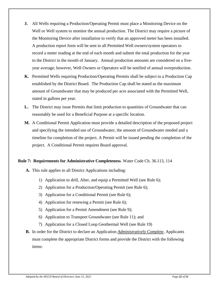- **J.** All Wells requiring a Production/Operating Permit must place a Monitoring Device on the Well or Well system to monitor the annual production. The District may require a picture of the Monitoring Device after installation to verify that an approved meter has been installed. A production report form will be sent to all Permitted Well owners/system operators to record a meter reading at the end of each month and submit the total production for the year to the District in the month of January. Annual production amounts are considered on a fiveyear average; however, Well Owners or Operators will be notified of annual overproduction.
- **K.** Permitted Wells requiring Production/Operating Permits shall be subject to a Production Cap established by the District Board. The Production Cap shall be stated as the maximum amount of Groundwater that may be produced per acre associated with the Permitted Well, stated in gallons per year.
- **L.** The District may issue Permits that limit production to quantities of Groundwater that can reasonably be used for a Beneficial Purpose at a specific location.
- **M.** A Conditional Permit Application must provide a detailed description of the proposed project and specifying the intended use of Groundwater, the amount of Groundwater needed and a timeline for completion of the project. A Permit will be issued pending the completion of the project. A Conditional Permit requires Board approval.

# **Rule 7: Requirements for Administrative Completeness**. Water Code Ch. 36.113, 114

- **A.** This rule applies to all District Applications including:
	- 1) Application to drill, Alter, and equip a Permitted Well (see Rule 6);
	- 2) Application for a Production/Operating Permit (see Rule 6);
	- 3) Application for a Conditional Permit (see Rule 6);
	- 4) Application for renewing a Permit (see Rule 6);
	- 5) Application for a Permit Amendment (see Rule 9);
	- 6) Application to Transport Groundwater (see Rule 11); and
	- 7) Application for a Closed Loop Geothermal Well (see Rule 19)
- **B.** In order for the District to declare an Application *Administratively Complete,* Applicants must complete the appropriate District forms and provide the District with the following items: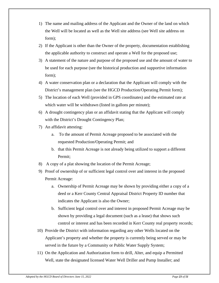- 1) The name and mailing address of the Applicant and the Owner of the land on which the Well will be located as well as the Well site address (see Well site address on form);
- 2) If the Applicant is other than the Owner of the property, documentation establishing the applicable authority to construct and operate a Well for the proposed use;
- 3) A statement of the nature and purpose of the proposed use and the amount of water to be used for each purpose (see the historical production and supportive information form);
- 4) A water conservation plan or a declaration that the Applicant will comply with the District's management plan (see the HGCD Production/Operating Permit form);
- 5) The location of each Well (provided in GPS coordinates) and the estimated rate at which water will be withdrawn (listed in gallons per minute);
- 6) A drought contingency plan or an affidavit stating that the Applicant will comply with the District's Drought Contingency Plan;
- 7) An affidavit attesting:
	- a. To the amount of Permit Acreage proposed to be associated with the requested Production/Operating Permit; and
	- b. that this Permit Acreage is not already being utilized to support a different Permit;
- 8) A copy of a plat showing the location of the Permit Acreage;
- 9) Proof of ownership of or sufficient legal control over and interest in the proposed Permit Acreage:
	- a. Ownership of Permit Acreage may be shown by providing either a copy of a deed or a Kerr County Central Appraisal District Property ID number that indicates the Applicant is also the Owner;
	- b. Sufficient legal control over and interest in proposed Permit Acreage may be shown by providing a legal document (such as a lease) that shows such control or interest and has been recorded in Kerr County real property records;
- 10) Provide the District with information regarding any other Wells located on the Applicant's property and whether the property is currently being served or may be served in the future by a Community or Public Water Supply System;
- 11) On the Application and Authorization form to drill, Alter, and equip a Permitted Well, state the designated licensed Water Well Driller and Pump Installer; and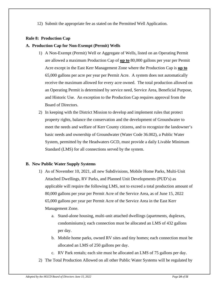12) Submit the appropriate fee as stated on the Permitted Well Application.

# **Rule 8: Production Cap**

# **A. Production Cap for Non-Exempt (Permit) Wells**

- 1) A Non-Exempt (Permit) Well or Aggregate of Wells, listed on an Operating Permit are allowed a maximum Production Cap of **up to** 80,000 gallons per year per Permit Acre except in the East Kerr Management Zone where the Production Cap is **up to** 65,000 gallons per acre per year per Permit Acre. A system does not automatically receive the maximum allowed for every acre owned. The total production allowed on an Operating Permit is determined by service need, Service Area, Beneficial Purpose, and Historic Use. An exception to the Production Cap requires approval from the Board of Directors.
- 2) In keeping with the District Mission to develop and implement rules that protect property rights, balance the conservation and the development of Groundwater to meet the needs and welfare of Kerr County citizens, and to recognize the landowner's basic needs and ownership of Groundwater (Water Code 36.002), a Public Water System, permitted by the Headwaters GCD, must provide a daily Livable Minimum Standard (LMS) for all connections served by the system.

# **B. New Public Water Supply Systems**

- 1) As of November 10, 2021, all new Subdivisions, Mobile Home Parks, Multi-Unit Attached Dwellings, RV Parks, and Planned Unit Developments (PUD's) as applicable will require the following LMS, not to exceed a total production amount of 80,000 gallons per year per Permit Acre of the Service Area, as of June 15, 2022 65,000 gallons per year per Permit Acre of the Service Area in the East Kerr Management Zone.
	- a. Stand-alone housing, multi-unit attached dwellings (apartments, duplexes, condominiums); each connection must be allocated an LMS of 432 gallons per day.
	- b. Mobile home parks, owned RV sites and tiny homes; each connection must be allocated an LMS of 250 gallons per day.
	- c. RV Park rentals; each site must be allocated an LMS of 75 gallons per day.
- 2) The Total Production Allowed on all other Public Water Systems will be regulated by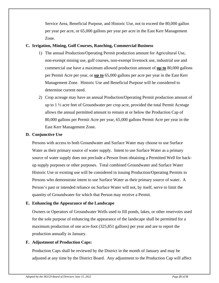Service Area, Beneficial Purpose, and Historic Use, not to exceed the 80,000 gallon per year per acre, or 65,000 gallons per year per acre in the East Kerr Management Zone.

#### **C. Irrigation, Mining, Golf Courses, Ranching, Commercial Business**

- 1) The annual Production/Operating Permit production amount for Agricultural Use, non-exempt mining use, golf courses, non-exempt livestock use, industrial use and commercial use have a maximum allowed production amount of **up to** 80,000 gallons per Permit Acre per year, or **up to** 65,000 gallons per acre per year in the East Kerr Management Zone. Historic Use and Beneficial Purpose will be considered to determine current need.
- 2) Crop acreage may have an annual Production/Operating Permit production amount of up to  $1\frac{1}{2}$  acre feet of Groundwater per crop acre, provided the total Permit Acreage allows the annual permitted amount to remain at or below the Production Cap of 80,000 gallons per Permit Acre per year, 65,000 gallons Permit Acre per year in the East Kerr Management Zone.

#### **D. Conjunctive Use**

Persons with access to both Groundwater and Surface Water may choose to use Surface Water as their primary source of water supply. Intent to use Surface Water as a primary source of water supply does not preclude a Person from obtaining a Permitted Well for backup supply purposes or other purposes. Total combined Groundwater and Surface Water Historic Use or existing use will be considered in issuing Production/Operating Permits to Persons who demonstrate intent to use Surface Water as their primary source of water. A Person's past or intended reliance on Surface Water will not, by itself, serve to limit the quantity of Groundwater for which that Person may receive a Permit.

# **E. Enhancing the Appearance of the Landscape**

Owners or Operators of Groundwater Wells used to fill ponds, lakes, or other reservoirs used for the sole purpose of enhancing the appearance of the landscape shall be permitted for a maximum production of one acre-foot (325,851 gallons) per year and are to report the production annually in January.

# **F. Adjustment of Production Caps:**

Production Caps shall be reviewed by the District in the month of January and may be adjusted at any time by the District Board. Any adjustment to the Production Cap will affect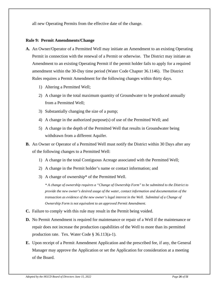all new Operating Permits from the effective date of the change.

#### **Rule 9: Permit Amendments/Change**

- **A.** An Owner/Operator of a Permitted Well may initiate an Amendment to an existing Operating Permit in connection with the renewal of a Permit or otherwise. The District may initiate an Amendment to an existing Operating Permit if the permit holder fails to apply for a required amendment within the 30-Day time period (Water Code Chapter 36.1146). The District Rules requires a Permit Amendment for the following changes within thirty days.
	- 1) Altering a Permitted Well;
	- 2) A change in the total maximum quantity of Groundwater to be produced annually from a Permitted Well;
	- 3) Substantially changing the size of a pump;
	- 4) A change in the authorized purpose(s) of use of the Permitted Well; and
	- 5) A change in the depth of the Permitted Well that results in Groundwater being withdrawn from a different Aquifer.
- **B.** An Owner or Operator of a Permitted Well must notify the District within 30 Days after any of the following changes to a Permitted Well:
	- 1) A change in the total Contiguous Acreage associated with the Permitted Well;
	- 2) A change in the Permit holder's name or contact information; and
	- 3) A change of ownership\* of the Permitted Well.

*\* A change of ownership requires a "Change of Ownership Form" to be submitted to the District to provide the new owner's desired usage of the water, contact information and documentation of the transaction as evidence of the new owner's legal interest in the Well. Submittal of a Change of Ownership Form is not equivalent to an approved Permit Amendment.*

- **C.** Failure to comply with this rule may result in the Permit being voided.
- **D.** No Permit Amendment is required for maintenance or repair of a Well if the maintenance or repair does not increase the production capabilities of the Well to more than its permitted production rate. Tex. Water Code § 36.113(a-1).
- **E.** Upon receipt of a Permit Amendment Application and the prescribed fee, if any, the General Manager may approve the Application or set the Application for consideration at a meeting of the Board.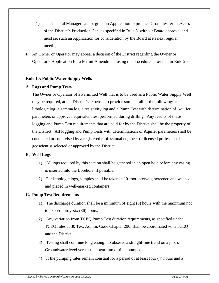- 1) The General Manager cannot grant an Application to produce Groundwater in excess of the District's Production Cap, as specified in Rule 8, without Board approval and must set such an Application for consideration by the Board at its next regular meeting.
- **F.** An Owner or Operator may appeal a decision of the District regarding the Owner or Operator's Application for a Permit Amendment using the procedures provided in Rule 20.

# **Rule 10: Public Water Supply Wells**

# **A. Logs and Pump Tests**

The Owner or Operator of a Permitted Well that is to be used as a Public Water Supply Well may be required, at the District's expense, to provide some or all of the following: a lithologic log, a gamma log, a resistivity log and a Pump Test with determination of Aquifer parameters or approved equivalent test performed during drilling. Any results of these logging and Pump Test requirements that are paid for by the District shall be the property of the District. All logging and Pump Tests with determinations of Aquifer parameters shall be conducted or supervised by a registered professional engineer or licensed professional geoscientist selected or approved by the District.

# **B. Well Logs**

- 1) All logs required by this section shall be gathered in an open hole before any casing is inserted into the Borehole, if possible.
- 2) For lithologic logs, samples shall be taken at 10-foot intervals, screened and washed, and placed in well-marked containers.

# **C. Pump Test Requirements**

- 1) The discharge duration shall be a minimum of eight (8) hours with the maximum not to exceed thirty-six (36) hours.
- 2) Any variation from TCEQ Pump Test duration requirements, as specified under TCEQ rules at 30 Tex. Admin. Code Chapter 290, shall be coordinated with TCEQ and the District.
- 3) Testing shall continue long enough to observe a straight-line trend on a plot of Groundwater level versus the logarithm of time pumped.
- 4) If the pumping rates remain constant for a period of at least four (4) hours and a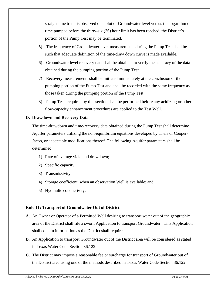straight-line trend is observed on a plot of Groundwater level versus the logarithm of time pumped before the thirty-six (36) hour limit has been reached, the District's portion of the Pump Test may be terminated.

- 5) The frequency of Groundwater level measurements during the Pump Test shall be such that adequate definition of the time-draw down curve is made available.
- 6) Groundwater level recovery data shall be obtained to verify the accuracy of the data obtained during the pumping portion of the Pump Test.
- 7) Recovery measurements shall be initiated immediately at the conclusion of the pumping portion of the Pump Test and shall be recorded with the same frequency as those taken during the pumping portion of the Pump Test.
- 8) Pump Tests required by this section shall be performed before any acidizing or other flow-capacity enhancement procedures are applied to the Test Well.

# **D. Drawdown and Recovery Data**

The time-drawdown and time-recovery data obtained during the Pump Test shall determine Aquifer parameters utilizing the non-equilibrium equations developed by Theis or Cooper-Jacob, or acceptable modifications thereof. The following Aquifer parameters shall be determined:

- 1) Rate of average yield and drawdown;
- 2) Specific capacity;
- 3) Transmissivity;
- 4) Storage coefficient, when an observation Well is available; and
- 5) Hydraulic conductivity.

# **Rule 11: Transport of Groundwater Out of District**

- **A.** An Owner or Operator of a Permitted Well desiring to transport water out of the geographic area of the District shall file a sworn Application to transport Groundwater. This Application shall contain information as the District shall require.
- **B.** An Application to transport Groundwater out of the District area will be considered as stated in Texas Water Code Section 36.122.
- **C.** The District may impose a reasonable fee or surcharge for transport of Groundwater out of the District area using one of the methods described in Texas Water Code Section 36.122.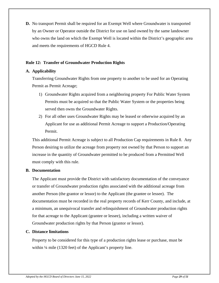**D.** No transport Permit shall be required for an Exempt Well where Groundwater is transported by an Owner or Operator outside the District for use on land owned by the same landowner who owns the land on which the Exempt Well is located within the District's geographic area and meets the requirements of HGCD Rule 4.

#### **Rule 12: Transfer of Groundwater Production Rights**

#### **A. Applicability**

Transferring Groundwater Rights from one property to another to be used for an Operating Permit as Permit Acreage;

- 1) Groundwater Rights acquired from a neighboring property For Public Water System Permits must be acquired so that the Public Water System or the properties being served then owns the Groundwater Rights.
- 2) For all other uses Groundwater Rights may be leased or otherwise acquired by an Applicant for use as additional Permit Acreage to support a Production/Operating Permit.

This additional Permit Acreage is subject to all Production Cap requirements in Rule 8. Any Person desiring to utilize the acreage from property not owned by that Person to support an increase in the quantity of Groundwater permitted to be produced from a Permitted Well must comply with this rule.

#### **B. Documentation**

The Applicant must provide the District with satisfactory documentation of the conveyance or transfer of Groundwater production rights associated with the additional acreage from another Person (the grantor or lessor) to the Applicant (the grantee or lessee). The documentation must be recorded in the real property records of Kerr County, and include, at a minimum, an unequivocal transfer and relinquishment of Groundwater production rights for that acreage to the Applicant (grantee or lessee), including a written waiver of Groundwater production rights by that Person (grantor or lessor).

# **C. Distance limitations**

Property to be considered for this type of a production rights lease or purchase, must be within ¼ mile (1320 feet) of the Applicant's property line.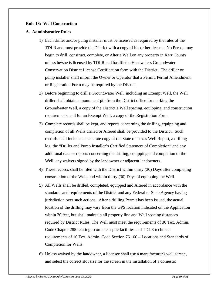#### **Rule 13: Well Construction**

#### **A. Administrative Rules**

- 1) Each driller and/or pump installer must be licensed as required by the rules of the TDLR and must provide the District with a copy of his or her license. No Person may begin to drill, construct, complete, or Alter a Well on any property in Kerr County unless he/she is licensed by TDLR and has filed a Headwaters Groundwater Conservation District License Certification form with the District. The driller or pump installer shall inform the Owner or Operator that a Permit, Permit Amendment, or Registration Form may be required by the District.
- 2) Before beginning to drill a Groundwater Well, including an Exempt Well, the Well driller shall obtain a monument pin from the District office for marking the Groundwater Well, a copy of the District's Well spacing, equipping, and construction requirements, and for an Exempt Well, a copy of the Registration Form.
- 3) Complete records shall be kept, and reports concerning the drilling, equipping and completion of all Wells drilled or Altered shall be provided to the District. Such records shall include an accurate copy of the State of Texas Well Report, a drilling log, the "Driller and Pump Installer's Certified Statement of Completion" and any additional data or reports concerning the drilling, equipping and completion of the Well, any waivers signed by the landowner or adjacent landowners.
- 4) These records shall be filed with the District within thirty (30) Days after completing construction of the Well, and within thirty (30) Days of equipping the Well.
- 5) All Wells shall be drilled, completed, equipped and Altered in accordance with the standards and requirements of the District and any Federal or State Agency having jurisdiction over such actions. After a drilling Permit has been issued, the actual location of the drilling may vary from the GPS location indicated on the Application within 30 feet, but shall maintain all property line and Well spacing distances required by District Rules. The Well must meet the requirements of 30 Tex. Admin. Code Chapter 285 relating to on-site septic facilities and TDLR technical requirements of 16 Tex. Admin. Code Section 76.100 – Locations and Standards of Completion for Wells.
- 6) Unless waived by the landowner, a licensee shall use a manufacturer's well screen, and select the correct slot size for the screen in the installation of a domestic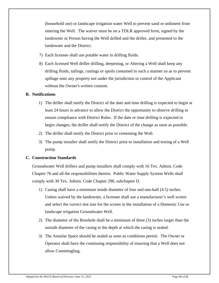(household use) or landscape irrigation water Well to prevent sand or sediment from entering the Well. The waiver must be on a TDLR approved form, signed by the landowner or Person having the Well drilled and the driller, and presented to the landowner and the District.

- 7) Each licensee shall use potable water in drilling fluids.
- 8) Each licensed Well driller drilling, deepening, or Altering a Well shall keep any drilling fluids, tailings, cuttings or spoils contained in such a manner so as to prevent spillage onto any property not under the jurisdiction or control of the Applicant without the Owner's written consent.

# **B. Notifications**

- 1) The driller shall notify the District of the date and time drilling is expected to begin at least 24 hours in advance to allow the District the opportunity to observe drilling to ensure compliance with District Rules. If the date or time drilling is expected to begin changes, the driller shall notify the District of the change as soon as possible.
- 2) The driller shall notify the District prior to cementing the Well.
- 3) The pump installer shall notify the District prior to installation and testing of a Well pump.

# **C. Construction Standards**

Groundwater Well drillers and pump installers shall comply with 16 Tex. Admin. Code Chapter 76 and all the responsibilities therein. Public Water Supply System Wells shall comply with 30 Tex. Admin. Code Chapter 290, subchapter D.

- 1) Casing shall have a minimum inside diameter of four and one-half (4.5) inches. Unless waived by the landowner, a licensee shall use a manufacturer's well screen and select the correct slot size for the screen in the installation of a Domestic Use or landscape irrigation Groundwater Well.
- 2) The diameter of the Borehole shall be a minimum of three (3) inches larger than the outside diameter of the casing to the depth at which the casing is sealed.
- 3) The Annular Space should be sealed as soon as conditions permit. The Owner or Operator shall have the continuing responsibility of ensuring that a Well does not allow Commingling.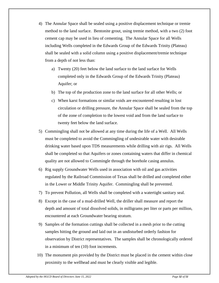- 4) The Annular Space shall be sealed using a positive displacement technique or tremie method to the land surface. Bentonite grout, using tremie method, with a two (2) foot cement cap may be used in lieu of cementing. The Annular Space for all Wells including Wells completed in the Edwards Group of the Edwards Trinity (Plateau) shall be sealed with a solid column using a positive displacement/tremie technique from a depth of not less than:
	- a) Twenty (20) feet below the land surface to the land surface for Wells completed only in the Edwards Group of the Edwards Trinity (Plateau) Aquifer; or
	- b) The top of the production zone to the land surface for all other Wells; or
	- c) When karst formations or similar voids are encountered resulting in lost circulation or drilling pressure, the Annular Space shall be sealed from the top of the zone of completion to the lowest void and from the land surface to twenty feet below the land surface.
- 5) Commingling shall not be allowed at any time during the life of a Well. All Wells must be completed to avoid the Commingling of undesirable water with desirable drinking water based upon TDS measurements while drilling with air rigs. All Wells shall be completed so that Aquifers or zones containing waters that differ in chemical quality are not allowed to Commingle through the borehole casing annulus.
- 6) Rig supply Groundwater Wells used in association with oil and gas activities regulated by the Railroad Commission of Texas shall be drilled and completed either in the Lower or Middle Trinity Aquifer. Commingling shall be prevented.
- 7) To prevent Pollution, all Wells shall be completed with a watertight sanitary seal.
- 8) Except in the case of a mud-drilled Well, the driller shall measure and report the depth and amount of total dissolved solids, in milligrams per liter or parts per million, encountered at each Groundwater bearing stratum.
- 9) Samples of the formation cuttings shall be collected in a mesh prior to the cutting samples hitting the ground and laid out in an undisturbed orderly fashion for observation by District representatives. The samples shall be chronologically ordered in a minimum of ten (10) foot increments.
- 10) The monument pin provided by the District must be placed in the cement within close proximity to the wellhead and must be clearly visible and legible.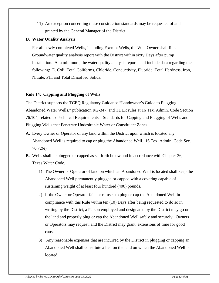11) An exception concerning these construction standards may be requested of and granted by the General Manager of the District.

# **D. Water Quality Analysis**

For all newly completed Wells, including Exempt Wells, the Well Owner shall file a Groundwater quality analysis report with the District within sixty Days after pump installation. At a minimum, the water quality analysis report shall include data regarding the following: E. Coli, Total Coliforms, Chloride, Conductivity, Fluoride, Total Hardness, Iron, Nitrate, PH, and Total Dissolved Solids.

# **Rule 14: Capping and Plugging of Wells**

The District supports the TCEQ Regulatory Guidance "Landowner's Guide to Plugging Abandoned Water Wells," publication RG-347, and TDLR rules at 16 Tex. Admin. Code Section 76.104, related to Technical Requirements—Standards for Capping and Plugging of Wells and Plugging Wells that Penetrate Undesirable Water or Constituent Zones.

- **A.** Every Owner or Operator of any land within the District upon which is located any Abandoned Well is required to cap or plug the Abandoned Well. 16 Tex. Admin. Code Sec. 76.72(e).
- **B.** Wells shall be plugged or capped as set forth below and in accordance with Chapter 36, Texas Water Code.
	- 1) The Owner or Operator of land on which an Abandoned Well is located shall keep the Abandoned Well permanently plugged or capped with a covering capable of sustaining weight of at least four hundred (400) pounds.
	- 2) If the Owner or Operator fails or refuses to plug or cap the Abandoned Well in compliance with this Rule within ten (10) Days after being requested to do so in writing by the District, a Person employed and designated by the District may go on the land and properly plug or cap the Abandoned Well safely and securely. Owners or Operators may request, and the District may grant, extensions of time for good cause.
	- 3) Any reasonable expenses that are incurred by the District in plugging or capping an Abandoned Well shall constitute a lien on the land on which the Abandoned Well is located.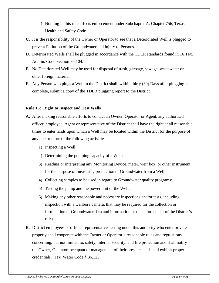- 4) Nothing in this rule affects enforcement under Subchapter A, Chapter 756, Texas Health and Safety Code.
- **C.** It is the responsibility of the Owner or Operator to see that a Deteriorated Well is plugged to prevent Pollution of the Groundwater and injury to Persons.
- **D.** Deteriorated Wells shall be plugged in accordance with the TDLR standards found in 16 Tex. Admin. Code Section 76.104.
- **E.** No Deteriorated Well may be used for disposal of trash, garbage, sewage, wastewater or other foreign material.
- **F.** Any Person who plugs a Well in the District shall, within thirty (30) Days after plugging is complete, submit a copy of the TDLR plugging report to the District.

#### **Rule 15: Right to Inspect and Test Wells**

- **A.** After making reasonable efforts to contact an Owner, Operator or Agent, any authorized officer, employee, Agent or representative of the District shall have the right at all reasonable times to enter lands upon which a Well may be located within the District for the purpose of any one or more of the following activities:
	- 1) Inspecting a Well;
	- 2) Determining the pumping capacity of a Well;
	- 3) Reading or interpreting any Monitoring Device, meter, weir box, or other instrument for the purpose of measuring production of Groundwater from a Well;
	- 4) Collecting samples to be used in regard to Groundwater quality programs;
	- 5) Testing the pump and the power unit of the Well;
	- 6) Making any other reasonable and necessary inspections and/or tests, including inspection with a wellbore camera, that may be required for the collection or formulation of Groundwater data and information or the enforcement of the District's rules.
- **B.** District employees or official representatives acting under this authority who enter private property shall cooperate with the Owner or Operator's reasonable rules and regulations concerning, but not limited to, safety, internal security, and fire protection and shall notify the Owner, Operator, occupant or management of their presence and shall exhibit proper credentials. Tex. Water Code § 36.123.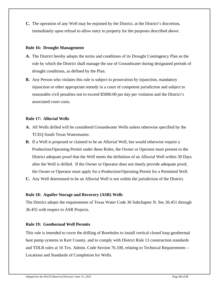**C.** The operation of any Well may be enjoined by the District, at the District's discretion, immediately upon refusal to allow entry to property for the purposes described above.

#### **Rule 16: Drought Management**

- **A.** The District hereby adopts the terms and conditions of its Drought Contingency Plan as the rule by which the District shall manage the use of Groundwater during designated periods of drought conditions, as defined by the Plan.
- **B.** Any Person who violates this rule is subject to prosecution by injunction, mandatory injunction or other appropriate remedy in a court of competent jurisdiction and subject to reasonable civil penalties not to exceed \$5000.00 per day per violation and the District's associated court costs.

# **Rule 17: Alluvial Wells**

- **A.** All Wells drilled will be considered Groundwater Wells unless otherwise specified by the TCEQ South Texas Watermaster.
- **B.** If a Well is proposed or claimed to be an Alluvial Well, but would otherwise require a Production/Operating Permit under these Rules, the Owner or Operator must present to the District adequate proof that the Well meets the definition of an Alluvial Well within 30 Days after the Well is drilled. If the Owner or Operator does not timely provide adequate proof, the Owner or Operator must apply for a Production/Operating Permit for a Permitted Well.
- **C.** Any Well determined to be an Alluvial Well is not within the jurisdiction of the District.

# **Rule 18: Aquifer Storage and Recovery (ASR) Wells**

The District adopts the requirements of Texas Water Code 36 Subchapter N. Sec.36.451 through 36.455 with respect to ASR Projects.

# **Rule 19: Geothermal Well Permits**

This rule is intended to cover the drilling of Boreholes to install vertical closed loop geothermal heat pump systems in Kerr County, and to comply with District Rule 13 construction standards and TDLR rules at 16 Tex. Admin. Code Section 76.100, relating to Technical Requirements – Locations and Standards of Completion for Wells.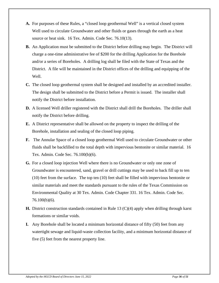- **A.** For purposes of these Rules, a "closed loop geothermal Well" is a vertical closed system Well used to circulate Groundwater and other fluids or gases through the earth as a heat source or heat sink. 16 Tex. Admin. Code Sec. 76.10(13).
- **B.** An Application must be submitted to the District before drilling may begin. The District will charge a one-time administrative fee of \$200 for the drilling Application for the Borehole and/or a series of Boreholes. A drilling log shall be filed with the State of Texas and the District. A file will be maintained in the District offices of the drilling and equipping of the Well.
- **C.** The closed loop geothermal system shall be designed and installed by an accredited installer. The design shall be submitted to the District before a Permit is issued. The installer shall notify the District before installation.
- **D.** A licensed Well driller registered with the District shall drill the Boreholes. The driller shall notify the District before drilling.
- **E.** A District representative shall be allowed on the property to inspect the drilling of the Borehole, installation and sealing of the closed loop piping.
- **F.** The Annular Space of a closed loop geothermal Well used to circulate Groundwater or other fluids shall be backfilled to the total depth with impervious bentonite or similar material. 16 Tex. Admin. Code Sec. 76.100(b)(6).
- **G.** For a closed loop injection Well where there is no Groundwater or only one zone of Groundwater is encountered, sand, gravel or drill cuttings may be used to back fill up to ten (10) feet from the surface. The top ten (10) feet shall be filled with impervious bentonite or similar materials and meet the standards pursuant to the rules of the Texas Commission on Environmental Quality at 30 Tex. Admin. Code Chapter 331. 16 Tex. Admin. Code Sec. 76.100(b)(6).
- **H.** District construction standards contained in Rule 13 (C)(4) apply when drilling through karst formations or similar voids.
- **I.** Any Borehole shall be located a minimum horizontal distance of fifty (50) feet from any watertight sewage and liquid-waste collection facility, and a minimum horizontal distance of five (5) feet from the nearest property line.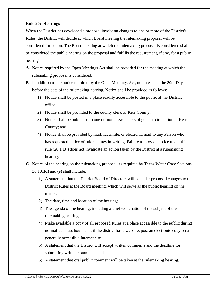# **Rule 20: Hearings**

When the District has developed a proposal involving changes to one or more of the District's Rules, the District will decide at which Board meeting the rulemaking proposal will be considered for action. The Board meeting at which the rulemaking proposal is considered shall be considered the public hearing on the proposal and fulfills the requirement, if any, for a public hearing.

- **A.** Notice required by the Open Meetings Act shall be provided for the meeting at which the rulemaking proposal is considered.
- **B.** In addition to the notice required by the Open Meetings Act, not later than the 20th Day before the date of the rulemaking hearing, Notice shall be provided as follows:
	- 1) Notice shall be posted in a place readily accessible to the public at the District office;
	- 2) Notice shall be provided to the county clerk of Kerr County;
	- 3) Notice shall be published in one or more newspapers of general circulation in Kerr County; and
	- 4) Notice shall be provided by mail, facsimile, or electronic mail to any Person who has requested notice of rulemakings in writing. Failure to provide notice under this rule (20.1(B)) does not invalidate an action taken by the District at a rulemaking hearing.
- **C.** Notice of the hearing on the rulemaking proposal, as required by Texas Water Code Sections 36.101(d) and (e) shall include:
	- 1) A statement that the District Board of Directors will consider proposed changes to the District Rules at the Board meeting, which will serve as the public hearing on the matter;
	- 2) The date, time and location of the hearing;
	- 3) The agenda of the hearing, including a brief explanation of the subject of the rulemaking hearing;
	- 4) Make available a copy of all proposed Rules at a place accessible to the public during normal business hours and, if the district has a website, post an electronic copy on a generally accessible Internet site.
	- 5) A statement that the District will accept written comments and the deadline for submitting written comments; and
	- 6) A statement that oral public comment will be taken at the rulemaking hearing.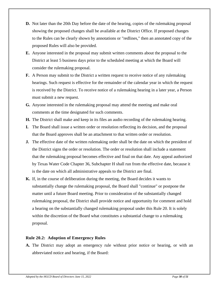- **D.** Not later than the 20th Day before the date of the hearing, copies of the rulemaking proposal showing the proposed changes shall be available at the District Office. If proposed changes to the Rules can be clearly shown by annotations or "redlines," then an annotated copy of the proposed Rules will also be provided.
- **E.** Anyone interested in the proposal may submit written comments about the proposal to the District at least 5 business days prior to the scheduled meeting at which the Board will consider the rulemaking proposal.
- **F.** A Person may submit to the District a written request to receive notice of any rulemaking hearings. Such request is effective for the remainder of the calendar year in which the request is received by the District. To receive notice of a rulemaking hearing in a later year, a Person must submit a new request.
- **G.** Anyone interested in the rulemaking proposal may attend the meeting and make oral comments at the time designated for such comments.
- **H.** The District shall make and keep in its files an audio recording of the rulemaking hearing.
- **I.** The Board shall issue a written order or resolution reflecting its decision, and the proposal that the Board approves shall be an attachment to that written order or resolution.
- **J.** The effective date of the written rulemaking order shall be the date on which the president of the District signs the order or resolution. The order or resolution shall include a statement that the rulemaking proposal becomes effective and final on that date. Any appeal authorized by Texas Water Code Chapter 36, Subchapter H shall run from the effective date, because it is the date on which all administrative appeals to the District are final.
- **K.** If, in the course of deliberation during the meeting, the Board decides it wants to substantially change the rulemaking proposal, the Board shall "continue" or postpone the matter until a future Board meeting. Prior to consideration of the substantially changed rulemaking proposal, the District shall provide notice and opportunity for comment and hold a hearing on the substantially changed rulemaking proposal under this Rule 20. It is solely within the discretion of the Board what constitutes a substantial change to a rulemaking proposal.

# **Rule 20.2: Adoption of Emergency Rules**

**A.** The District may adopt an emergency rule without prior notice or hearing, or with an abbreviated notice and hearing, if the Board: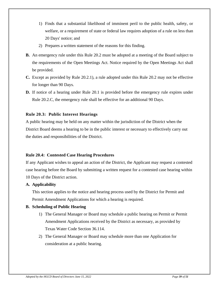- 1) Finds that a substantial likelihood of imminent peril to the public health, safety, or welfare, or a requirement of state or federal law requires adoption of a rule on less than 20 Days' notice; and
- 2) Prepares a written statement of the reasons for this finding.
- **B.** An emergency rule under this Rule 20.2 must be adopted at a meeting of the Board subject to the requirements of the Open Meetings Act. Notice required by the Open Meetings Act shall be provided.
- **C.** Except as provided by Rule 20.2.1), a rule adopted under this Rule 20.2 may not be effective for longer than 90 Days.
- **D.** If notice of a hearing under Rule 20.1 is provided before the emergency rule expires under Rule 20.2.C, the emergency rule shall be effective for an additional 90 Days.

# **Rule 20.3: Public Interest Hearings**

A public hearing may be held on any matter within the jurisdiction of the District when the District Board deems a hearing to be in the public interest or necessary to effectively carry out the duties and responsibilities of the District.

# **Rule 20.4: Contested Case Hearing Procedures**

If any Applicant wishes to appeal an action of the District, the Applicant may request a contested case hearing before the Board by submitting a written request for a contested case hearing within 10 Days of the District action.

# **A. Applicability**

This section applies to the notice and hearing process used by the District for Permit and Permit Amendment Applications for which a hearing is required.

# **B. Scheduling of Public Hearing**

- 1) The General Manager or Board may schedule a public hearing on Permit or Permit Amendment Applications received by the District as necessary, as provided by Texas Water Code Section 36.114.
- 2) The General Manager or Board may schedule more than one Application for consideration at a public hearing.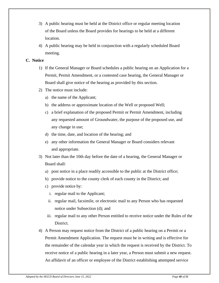- 3) A public hearing must be held at the District office or regular meeting location of the Board unless the Board provides for hearings to be held at a different location.
- 4) A public hearing may be held in conjunction with a regularly scheduled Board meeting.

# **C. Notice**

- 1) If the General Manager or Board schedules a public hearing on an Application for a Permit, Permit Amendment, or a contested case hearing, the General Manager or Board shall give notice of the hearing as provided by this section.
- 2) The notice must include:
	- a) the name of the Applicant;
	- b) the address or approximate location of the Well or proposed Well;
	- c) a brief explanation of the proposed Permit or Permit Amendment, including any requested amount of Groundwater, the purpose of the proposed use, and any change in use;
	- d) the time, date, and location of the hearing; and
	- e) any other information the General Manager or Board considers relevant and appropriate.
- 3) Not later than the 10th day before the date of a hearing, the General Manager or Board shall:
	- a) post notice in a place readily accessible to the public at the District office;
	- b) provide notice to the county clerk of each county in the District; and
	- c) provide notice by:
		- i. regular mail to the Applicant;
		- ii. regular mail, facsimile, or electronic mail to any Person who has requested notice under Subsection (d); and
	- iii. regular mail to any other Person entitled to receive notice under the Rules of the District.
- 4) A Person may request notice from the District of a public hearing on a Permit or a Permit Amendment Application. The request must be in writing and is effective for the remainder of the calendar year in which the request is received by the District. To receive notice of a public hearing in a later year, a Person must submit a new request. An affidavit of an officer or employee of the District establishing attempted service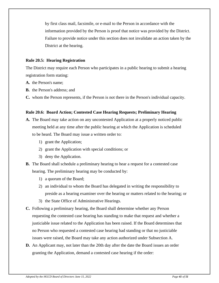by first class mail, facsimile, or e-mail to the Person in accordance with the information provided by the Person is proof that notice was provided by the District. Failure to provide notice under this section does not invalidate an action taken by the District at the hearing.

# **Rule 20.5: Hearing Registration**

The District may require each Person who participates in a public hearing to submit a hearing registration form stating:

- **A.** the Person's name;
- **B.** the Person's address; and
- **C.** whom the Person represents, if the Person is not there in the Person's individual capacity.

#### **Rule 20.6: Board Action; Contested Case Hearing Requests; Preliminary Hearing**

- **A.** The Board may take action on any uncontested Application at a properly noticed public meeting held at any time after the public hearing at which the Application is scheduled to be heard. The Board may issue a written order to:
	- 1) grant the Application;
	- 2) grant the Application with special conditions; or
	- 3) deny the Application.
- **B.** The Board shall schedule a preliminary hearing to hear a request for a contested case hearing. The preliminary hearing may be conducted by:
	- 1) a quorum of the Board;
	- 2) an individual to whom the Board has delegated in writing the responsibility to preside as a hearing examiner over the hearing or matters related to the hearing; or
	- 3) the State Office of Administrative Hearings.
- **C.** Following a preliminary hearing, the Board shall determine whether any Person requesting the contested case hearing has standing to make that request and whether a justiciable issue related to the Application has been raised. If the Board determines that no Person who requested a contested case hearing had standing or that no justiciable issues were raised, the Board may take any action authorized under Subsection A.
- **D.** An Applicant may, not later than the 20th day after the date the Board issues an order granting the Application, demand a contested case hearing if the order: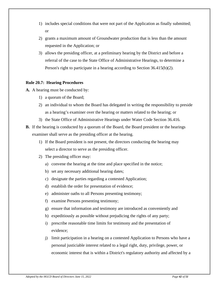- 1) includes special conditions that were not part of the Application as finally submitted; or
- 2) grants a maximum amount of Groundwater production that is less than the amount requested in the Application; or
- 3) allows the presiding officer, at a preliminary hearing by the District and before a referral of the case to the State Office of Administrative Hearings, to determine a Person's right to participate in a hearing according to Section 36.415(b)(2).

# **Rule 20.7: Hearing Procedures**

**A.** A hearing must be conducted by:

- 1) a quorum of the Board;
- 2) an individual to whom the Board has delegated in writing the responsibility to preside as a hearing's examiner over the hearing or matters related to the hearing; or
- 3) the State Office of Administrative Hearings under Water Code Section 36.416.
- **B.** If the hearing is conducted by a quorum of the Board, the Board president or the hearings examiner shall serve as the presiding officer at the hearing.
	- 1) If the Board president is not present, the directors conducting the hearing may select a director to serve as the presiding officer.
	- 2) The presiding officer may:
		- a) convene the hearing at the time and place specified in the notice;
		- b) set any necessary additional hearing dates;
		- c) designate the parties regarding a contested Application;
		- d) establish the order for presentation of evidence;
		- e) administer oaths to all Persons presenting testimony;
		- f) examine Persons presenting testimony;
		- g) ensure that information and testimony are introduced as conveniently and
		- h) expeditiously as possible without prejudicing the rights of any party;
		- i) prescribe reasonable time limits for testimony and the presentation of evidence;
		- j) limit participation in a hearing on a contested Application to Persons who have a personal justiciable interest related to a legal right, duty, privilege, power, or economic interest that is within a District's regulatory authority and affected by a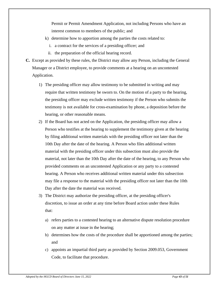Permit or Permit Amendment Application, not including Persons who have an interest common to members of the public; and

- k) determine how to apportion among the parties the costs related to:
	- i. a contract for the services of a presiding officer; and
	- ii. the preparation of the official hearing record.
- **C.** Except as provided by these rules, the District may allow any Person, including the General Manager or a District employee, to provide comments at a hearing on an uncontested Application.
	- 1) The presiding officer may allow testimony to be submitted in writing and may require that written testimony be sworn to. On the motion of a party to the hearing, the presiding officer may exclude written testimony if the Person who submits the testimony is not available for cross-examination by phone, a deposition before the hearing, or other reasonable means.
	- 2) If the Board has not acted on the Application, the presiding officer may allow a Person who testifies at the hearing to supplement the testimony given at the hearing by filing additional written materials with the presiding officer not later than the 10th Day after the date of the hearing. A Person who files additional written material with the presiding officer under this subsection must also provide the material, not later than the 10th Day after the date of the hearing, to any Person who provided comments on an uncontested Application or any party to a contested hearing. A Person who receives additional written material under this subsection may file a response to the material with the presiding officer not later than the 10th Day after the date the material was received.
	- 3) The District may authorize the presiding officer, at the presiding officer's discretion, to issue an order at any time before Board action under these Rules that:
		- a) refers parties to a contested hearing to an alternative dispute resolution procedure on any matter at issue in the hearing;
		- b) determines how the costs of the procedure shall be apportioned among the parties; and
		- c) appoints an impartial third party as provided by Section 2009.053, Government Code, to facilitate that procedure.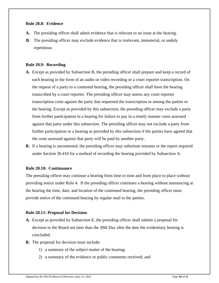#### **Rule 20.8: Evidence**

- **A.** The presiding officer shall admit evidence that is relevant to an issue at the hearing.
- **B.** The presiding officer may exclude evidence that is irrelevant, immaterial, or unduly repetitious.

#### **Rule 20.9: Recording**

- **A.** Except as provided by Subsection B, the presiding officer shall prepare and keep a record of each hearing in the form of an audio or video recording or a court reporter transcription. On the request of a party to a contested hearing, the presiding officer shall have the hearing transcribed by a court reporter. The presiding officer may assess any court reporter transcription costs against the party that requested the transcription or among the parties to the hearing. Except as provided by this subsection, the presiding officer may exclude a party from further participation in a hearing for failure to pay in a timely manner costs assessed against that party under this subsection. The presiding officer may not exclude a party from further participation in a hearing as provided by this subsection if the parties have agreed that the costs assessed against that party will be paid by another party.
- **B.** If a hearing is uncontested, the presiding officer may substitute minutes or the report required under Section 36.410 for a method of recording the hearing provided by Subsection A.

# **Rule 20.10: Continuance**

The presiding officer may continue a hearing from time to time and from place to place without providing notice under Rule 4. If the presiding officer continues a hearing without announcing at the hearing the time, date, and location of the continued hearing, the presiding officer must provide notice of the continued hearing by regular mail to the parties.

#### **Rule 20.11: Proposal for Decision**

- **A.** Except as provided by Subsection E, the presiding officer shall submit a proposal for decision to the Board not later than the 30th Day after the date the evidentiary hearing is concluded.
- **B.** The proposal for decision must include:
	- 1) a summary of the subject matter of the hearing;
	- 2) a summary of the evidence or public comments received; and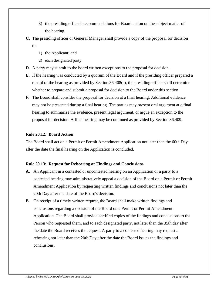- 3) the presiding officer's recommendations for Board action on the subject matter of the hearing.
- **C.** The presiding officer or General Manager shall provide a copy of the proposal for decision to:
	- 1) the Applicant; and
	- 2) each designated party.
- **D.** A party may submit to the board written exceptions to the proposal for decision.
- **E.** If the hearing was conducted by a quorum of the Board and if the presiding officer prepared a record of the hearing as provided by Section 36.408(a), the presiding officer shall determine whether to prepare and submit a proposal for decision to the Board under this section.
- **F.** The Board shall consider the proposal for decision at a final hearing. Additional evidence may not be presented during a final hearing. The parties may present oral argument at a final hearing to summarize the evidence, present legal argument, or argue an exception to the proposal for decision. A final hearing may be continued as provided by Section 36.409.

#### **Rule 20.12: Board Action**

The Board shall act on a Permit or Permit Amendment Application not later than the 60th Day after the date the final hearing on the Application is concluded.

# **Rule 20.13: Request for Rehearing or Findings and Conclusions**

- **A.** An Applicant in a contested or uncontested hearing on an Application or a party to a contested hearing may administratively appeal a decision of the Board on a Permit or Permit Amendment Application by requesting written findings and conclusions not later than the 20th Day after the date of the Board's decision.
- **B.** On receipt of a timely written request, the Board shall make written findings and conclusions regarding a decision of the Board on a Permit or Permit Amendment Application. The Board shall provide certified copies of the findings and conclusions to the Person who requested them, and to each designated party, not later than the 35th day after the date the Board receives the request. A party to a contested hearing may request a rehearing not later than the 20th Day after the date the Board issues the findings and conclusions.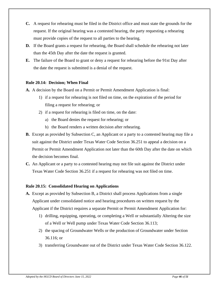- **C.** A request for rehearing must be filed in the District office and must state the grounds for the request. If the original hearing was a contested hearing, the party requesting a rehearing must provide copies of the request to all parties to the hearing.
- **D.** If the Board grants a request for rehearing, the Board shall schedule the rehearing not later than the 45th Day after the date the request is granted.
- **E.** The failure of the Board to grant or deny a request for rehearing before the 91st Day after the date the request is submitted is a denial of the request.

#### **Rule 20.14: Decision; When Final**

- **A.** A decision by the Board on a Permit or Permit Amendment Application is final:
	- 1) if a request for rehearing is not filed on time, on the expiration of the period for filing a request for rehearing; or
	- 2) if a request for rehearing is filed on time, on the date:
		- a) the Board denies the request for rehearing; or
		- b) the Board renders a written decision after rehearing.
- **B.** Except as provided by Subsection C, an Applicant or a party to a contested hearing may file a suit against the District under Texas Water Code Section 36.251 to appeal a decision on a Permit or Permit Amendment Application not later than the 60th Day after the date on which the decision becomes final.
- **C.** An Applicant or a party to a contested hearing may not file suit against the District under Texas Water Code Section 36.251 if a request for rehearing was not filed on time.

#### **Rule 20.15: Consolidated Hearing on Applications**

- **A.** Except as provided by Subsection B, a District shall process Applications from a single Applicant under consolidated notice and hearing procedures on written request by the Applicant if the District requires a separate Permit or Permit Amendment Application for:
	- 1) drilling, equipping, operating, or completing a Well or substantially Altering the size of a Well or Well pump under Texas Water Code Section 36.113;
	- 2) the spacing of Groundwater Wells or the production of Groundwater under Section 36.116; or
	- 3) transferring Groundwater out of the District under Texas Water Code Section 36.122.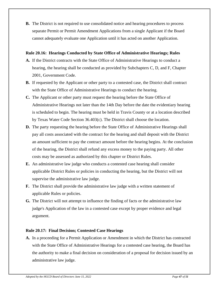**B.** The District is not required to use consolidated notice and hearing procedures to process separate Permit or Permit Amendment Applications from a single Applicant if the Board cannot adequately evaluate one Application until it has acted on another Application.

#### **Rule 20.16: Hearings Conducted by State Office of Administrative Hearings; Rules**

- **A.** If the District contracts with the State Office of Administrative Hearings to conduct a hearing, the hearing shall be conducted as provided by Subchapters C, D, and F, Chapter 2001, Government Code.
- **B.** If requested by the Applicant or other party to a contested case, the District shall contract with the State Office of Administrative Hearings to conduct the hearing.
- **C.** The Applicant or other party must request the hearing before the State Office of Administrative Hearings not later than the 14th Day before the date the evidentiary hearing is scheduled to begin. The hearing must be held in Travis County or at a location described by Texas Water Code Section 36.403(c). The District shall choose the location.
- **D.** The party requesting the hearing before the State Office of Administrative Hearings shall pay all costs associated with the contract for the hearing and shall deposit with the District an amount sufficient to pay the contract amount before the hearing begins. At the conclusion of the hearing, the District shall refund any excess money to the paying party. All other costs may be assessed as authorized by this chapter or District Rules.
- **E.** An administrative law judge who conducts a contested case hearing shall consider applicable District Rules or policies in conducting the hearing, but the District will not supervise the administrative law judge.
- **F.** The District shall provide the administrative law judge with a written statement of applicable Rules or policies.
- **G.** The District will not attempt to influence the finding of facts or the administrative law judge's Application of the law in a contested case except by proper evidence and legal argument.

# **Rule 20.17: Final Decision; Contested Case Hearings**

**A.** In a proceeding for a Permit Application or Amendment in which the District has contracted with the State Office of Administrative Hearings for a contested case hearing, the Board has the authority to make a final decision on consideration of a proposal for decision issued by an administrative law judge.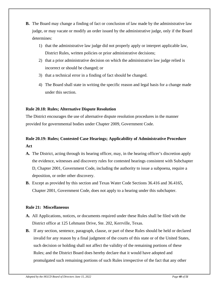- **B.** The Board may change a finding of fact or conclusion of law made by the administrative law judge, or may vacate or modify an order issued by the administrative judge, only if the Board determines:
	- 1) that the administrative law judge did not properly apply or interpret applicable law, District Rules, written policies or prior administrative decisions;
	- 2) that a prior administrative decision on which the administrative law judge relied is incorrect or should be changed; or
	- 3) that a technical error in a finding of fact should be changed.
	- 4) The Board shall state in writing the specific reason and legal basis for a change made under this section.

# **Rule 20.18: Rules; Alternative Dispute Resolution**

The District encourages the use of alternative dispute resolution procedures in the manner provided for governmental bodies under Chapter 2009, Government Code.

# **Rule 20.19: Rules; Contested Case Hearings; Applicability of Administrative Procedure Act**

- **A.** The District, acting through its hearing officer, may, in the hearing officer's discretion apply the evidence, witnesses and discovery rules for contested hearings consistent with Subchapter D, Chapter 2001, Government Code, including the authority to issue a subpoena, require a deposition, or order other discovery.
- **B.** Except as provided by this section and Texas Water Code Sections 36.416 and 36.4165, Chapter 2001, Government Code, does not apply to a hearing under this subchapter.

# **Rule 21: Miscellaneous**

- **A.** All Applications, notices, or documents required under these Rules shall be filed with the District office at 125 Lehmann Drive, Ste. 202, Kerrville, Texas.
- **B.** If any section, sentence, paragraph, clause, or part of these Rules should be held or declared invalid for any reason by a final judgment of the courts of this state or of the United States, such decision or holding shall not affect the validity of the remaining portions of these Rules; and the District Board does hereby declare that it would have adopted and promulgated such remaining portions of such Rules irrespective of the fact that any other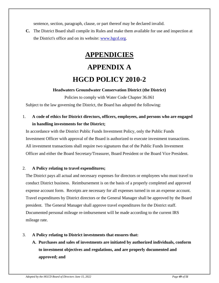sentence, section, paragraph, clause, or part thereof may be declared invalid.

**C.** The District Board shall compile its Rules and make them available for use and inspection at the District's office and on its website: www.hgcd.org.

# **APPENDICIES APPENDIX A HGCD POLICY 2010-2**

# **Headwaters Groundwater Conservation District (the District)**

Policies to comply with Water Code Chapter 36.061 Subject to the law governing the District, the Board has adopted the following:

1. **A code of ethics for District directors, officers, employees, and persons who are engaged in handling investments for the District;**

In accordance with the District Public Funds Investment Policy, only the Public Funds Investment Officer with approval of the Board is authorized to execute investment transactions. All investment transactions shall require two signatures that of the Public Funds Investment Officer and either the Board Secretary/Treasurer, Board President or the Board Vice President.

# 2. **A Policy relating to travel expenditures;**

The District pays all actual and necessary expenses for directors or employees who must travel to conduct District business. Reimbursement is on the basis of a properly completed and approved expense account form. Receipts are necessary for all expenses turned in on an expense account. Travel expenditures by District directors or the General Manager shall be approved by the Board president. The General Manager shall approve travel expenditures for the District staff. Documented personal mileage re-imbursement will be made according to the current IRS mileage rate.

# 3. **A Policy relating to District investments that ensures that:**

**A. Purchases and sales of investments are initiated by authorized individuals, conform to investment objectives and regulations, and are properly documented and approved; and**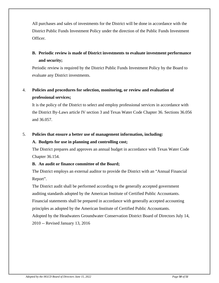All purchases and sales of investments for the District will be done in accordance with the District Public Funds Investment Policy under the direction of the Public Funds Investment Officer.

# **B. Periodic review is made of District investments to evaluate investment performance and security;**

Periodic review is required by the District Public Funds Investment Policy by the Board to evaluate any District investments.

# 4. **Policies and procedures for selection, monitoring, or review and evaluation of professional services;**

It is the policy of the District to select and employ professional services in accordance with the District By-Laws article IV section 3 and Texas Water Code Chapter 36. Sections 36.056 and 36.057.

# 5. **Policies that ensure a better use of management information, including:**

# **A. Budgets for use in planning and controlling cost;**

The District prepares and approves an annual budget in accordance with Texas Water Code Chapter 36.154.

# **B. An audit or finance committee of the Board;**

The District employs an external auditor to provide the District with an "Annual Financial Report".

The District audit shall be performed according to the generally accepted government auditing standards adopted by the American Institute of Certified Public Accountants. Financial statements shall be prepared in accordance with generally accepted accounting principles as adopted by the American Institute of Certified Public Accountants. Adopted by the Headwaters Groundwater Conservation District Board of Directors July 14, 2010 -- Revised January 13, 2016